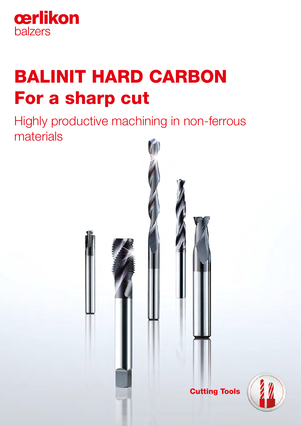

# BALINIT HARD CARBON For a sharp cut

Highly productive machining in non-ferrous materials

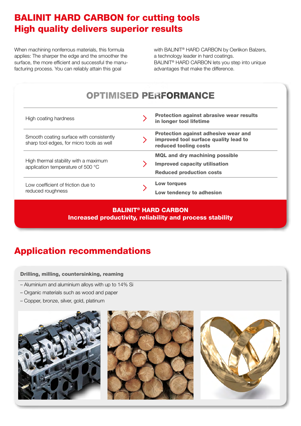# BALINIT HARD CARBON for cutting tools High quality delivers superior results

When machining nonferrous materials, this formula applies: The sharper the edge and the smoother the surface, the more efficient and successful the manufacturing process. You can reliably attain this goal

with BALINIT® HARD CARBON by Oerlikon Balzers, a technology leader in hard coatings. BALINIT® HARD CARBON lets you step into unique advantages that make the difference.

### OPTIMISED PERFORMANCE High coating hardness **Protection against abrasive wear results** in longer tool lifetime Protection against adhesive wear and Smooth coating surface with consistently  $\sum$ improved tool surface quality lead to sharp tool edges, for micro tools as well reduced tooling costs MQL and dry machining possible High thermal stability with a maximum  $\sum$ Improved capacity utilisation application temperature of 500 °C Reduced production costs Low torques Low coefficient of friction due to  $\mathbf{\lambda}$ reduced roughness Low tendency to adhesion

# BALINIT® HARD CARBON Increased productivity, reliability and process stability

# Application recommendations

### Drilling, milling, countersinking, reaming

- Aluminium and aluminium alloys with up to 14% Si
- Organic materials such as wood and paper
- Copper, bronze, silver, gold, platinum





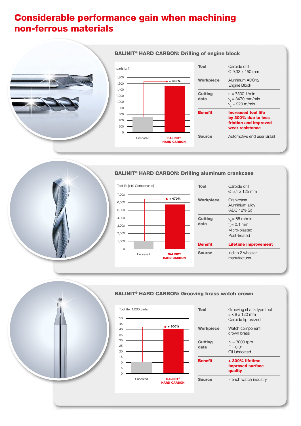# Considerable performance gain when machining non-ferrous materials



### parts [x 1]  $\Omega$ 200 400 600 800 1,000 1,200 1,400 1,600 1,800 **BALINIT®** HARD CARBON Uncoated  $+ 300%$

| <b>Increased tool life</b><br>by 300% due to less<br>friction and improved |
|----------------------------------------------------------------------------|
|                                                                            |
| $v_t = 3470$ mm/min                                                        |
| Aluminum ADC12                                                             |
| Ø 9,33 x 150 mm                                                            |
|                                                                            |

### BALINIT® HARD CARBON: Drilling of engine block

### BALINIT® HARD CARBON: Drilling aluminum crankcase



| Tool                   | Carbide drill<br>Ø 5.1 x 125 mm                                             |
|------------------------|-----------------------------------------------------------------------------|
| <b>Workpiece</b>       | Crankcase<br>Aluminium alloy<br>(ADC 12% Si)                                |
| <b>Cutting</b><br>data | $v_{\rm s}$ = 85 m/min<br>$f_{0} = 0.1$ mm<br>Micro-blasted<br>Post-treated |
| <b>Benefit</b>         | <b>Lifetime improvement</b>                                                 |
| <b>Source</b>          | Indian 2 wheeler<br>manufacturer                                            |



## BALINIT® HARD CARBON: Grooving brass watch crown



| Tool                   | Grooving shank type tool<br>$8 \times 8 \times 120$ mm<br>Carbide tip brazed |
|------------------------|------------------------------------------------------------------------------|
| <b>Workpiece</b>       | Watch component<br>crown brass                                               |
| <b>Cutting</b><br>data | $N = 3000$ rpm<br>$F = 0.01$<br>Oil lubricated                               |
| <b>Benefit</b>         | +300% lifetime<br><b>Improved surface</b><br>quality                         |
| Source                 | French watch industry                                                        |